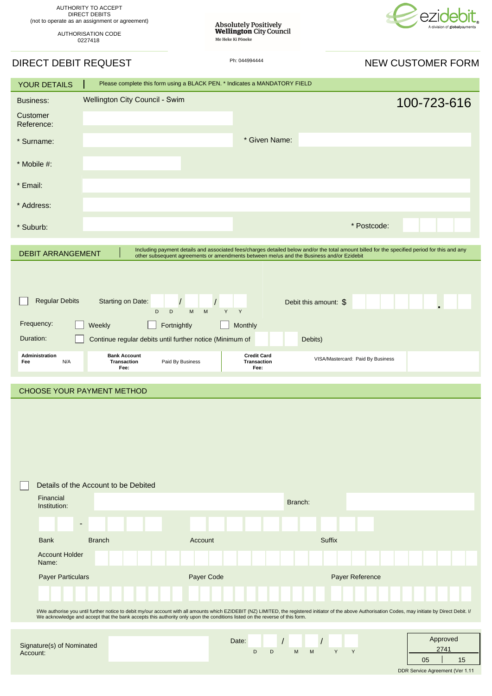

| AUTHORITY TO ACCEPT                            |
|------------------------------------------------|
| DIRECT DEBITS                                  |
| (not to operate as an assignment or agreement) |
|                                                |

AUTHORISATION CODE 0227418

Absolutely Positively<br>Wellington City Council<br>Me Heke Ki Põneke

# DIRECT DEBIT REQUEST **Ph: 044994444** Ph: 044994444 NEW CUSTOMER FORM

| <b>YOUR DETAILS</b>                   |                                                                                                                                                                                                                                                                                                                                          | Please complete this form using a BLACK PEN. * Indicates a MANDATORY FIELD                                                                                                                                                                |                                   |                                   |                  |  |
|---------------------------------------|------------------------------------------------------------------------------------------------------------------------------------------------------------------------------------------------------------------------------------------------------------------------------------------------------------------------------------------|-------------------------------------------------------------------------------------------------------------------------------------------------------------------------------------------------------------------------------------------|-----------------------------------|-----------------------------------|------------------|--|
| <b>Business:</b>                      | Wellington City Council - Swim                                                                                                                                                                                                                                                                                                           |                                                                                                                                                                                                                                           |                                   |                                   | 100-723-616      |  |
| Customer<br>Reference:                |                                                                                                                                                                                                                                                                                                                                          |                                                                                                                                                                                                                                           |                                   |                                   |                  |  |
| * Surname:                            |                                                                                                                                                                                                                                                                                                                                          |                                                                                                                                                                                                                                           | * Given Name:                     |                                   |                  |  |
| * Mobile #:                           |                                                                                                                                                                                                                                                                                                                                          |                                                                                                                                                                                                                                           |                                   |                                   |                  |  |
| * Email:                              |                                                                                                                                                                                                                                                                                                                                          |                                                                                                                                                                                                                                           |                                   |                                   |                  |  |
| * Address:                            |                                                                                                                                                                                                                                                                                                                                          |                                                                                                                                                                                                                                           |                                   |                                   |                  |  |
| * Suburb:                             |                                                                                                                                                                                                                                                                                                                                          |                                                                                                                                                                                                                                           |                                   | * Postcode:                       |                  |  |
|                                       |                                                                                                                                                                                                                                                                                                                                          |                                                                                                                                                                                                                                           |                                   |                                   |                  |  |
| <b>DEBIT ARRANGEMENT</b>              |                                                                                                                                                                                                                                                                                                                                          | Including payment details and associated fees/charges detailed below and/or the total amount billed for the specified period for this and any<br>other subsequent agreements or amendments between me/us and the Business and/or Ezidebit |                                   |                                   |                  |  |
|                                       |                                                                                                                                                                                                                                                                                                                                          |                                                                                                                                                                                                                                           |                                   |                                   |                  |  |
|                                       |                                                                                                                                                                                                                                                                                                                                          |                                                                                                                                                                                                                                           |                                   |                                   |                  |  |
| <b>Regular Debits</b>                 | Starting on Date:<br>D                                                                                                                                                                                                                                                                                                                   | $\overline{1}$<br>$\sqrt{2}$<br>Y.<br>Y<br>D<br>M<br>M                                                                                                                                                                                    |                                   | Debit this amount: \$             |                  |  |
| Frequency:                            | Weekly                                                                                                                                                                                                                                                                                                                                   | Fortnightly<br>Monthly                                                                                                                                                                                                                    |                                   |                                   |                  |  |
| Duration:                             |                                                                                                                                                                                                                                                                                                                                          | Continue regular debits until further notice (Minimum of                                                                                                                                                                                  |                                   | Debits)                           |                  |  |
| Administration<br>N/A<br>Fee          | <b>Bank Account</b><br><b>Transaction</b>                                                                                                                                                                                                                                                                                                | Paid By Business                                                                                                                                                                                                                          | <b>Credit Card</b><br>Transaction | VISA/Mastercard: Paid By Business |                  |  |
| Fee:<br>Fee:                          |                                                                                                                                                                                                                                                                                                                                          |                                                                                                                                                                                                                                           |                                   |                                   |                  |  |
|                                       |                                                                                                                                                                                                                                                                                                                                          |                                                                                                                                                                                                                                           |                                   |                                   |                  |  |
|                                       | CHOOSE YOUR PAYMENT METHOD                                                                                                                                                                                                                                                                                                               |                                                                                                                                                                                                                                           |                                   |                                   |                  |  |
|                                       |                                                                                                                                                                                                                                                                                                                                          |                                                                                                                                                                                                                                           |                                   |                                   |                  |  |
|                                       |                                                                                                                                                                                                                                                                                                                                          |                                                                                                                                                                                                                                           |                                   |                                   |                  |  |
|                                       | Details of the Account to be Debited                                                                                                                                                                                                                                                                                                     |                                                                                                                                                                                                                                           |                                   |                                   |                  |  |
| Financial<br>Institution:             |                                                                                                                                                                                                                                                                                                                                          |                                                                                                                                                                                                                                           | Branch:                           |                                   |                  |  |
|                                       | $\blacksquare$                                                                                                                                                                                                                                                                                                                           |                                                                                                                                                                                                                                           |                                   |                                   |                  |  |
| <b>Bank</b>                           | <b>Branch</b>                                                                                                                                                                                                                                                                                                                            | Account                                                                                                                                                                                                                                   |                                   | <b>Suffix</b>                     |                  |  |
| <b>Account Holder</b><br>Name:        |                                                                                                                                                                                                                                                                                                                                          |                                                                                                                                                                                                                                           |                                   |                                   |                  |  |
| Payer Particulars                     |                                                                                                                                                                                                                                                                                                                                          | Payer Code                                                                                                                                                                                                                                |                                   | Payer Reference                   |                  |  |
|                                       |                                                                                                                                                                                                                                                                                                                                          |                                                                                                                                                                                                                                           |                                   |                                   |                  |  |
|                                       | I/We authorise you until further notice to debit my/our account with all amounts which EZIDEBIT (NZ) LIMITED, the registered initiator of the above Authorisation Codes, may initiate by Direct Debit. I/<br>We acknowledge and accept that the bank accepts this authority only upon the conditions listed on the reverse of this form. |                                                                                                                                                                                                                                           |                                   |                                   |                  |  |
|                                       |                                                                                                                                                                                                                                                                                                                                          |                                                                                                                                                                                                                                           |                                   |                                   |                  |  |
| Signature(s) of Nominated<br>Account: |                                                                                                                                                                                                                                                                                                                                          | Date:                                                                                                                                                                                                                                     | D<br>D<br>M                       | Y<br>Y<br>M                       | Approved<br>2741 |  |

DDR Service Agreement (Ver 1.11